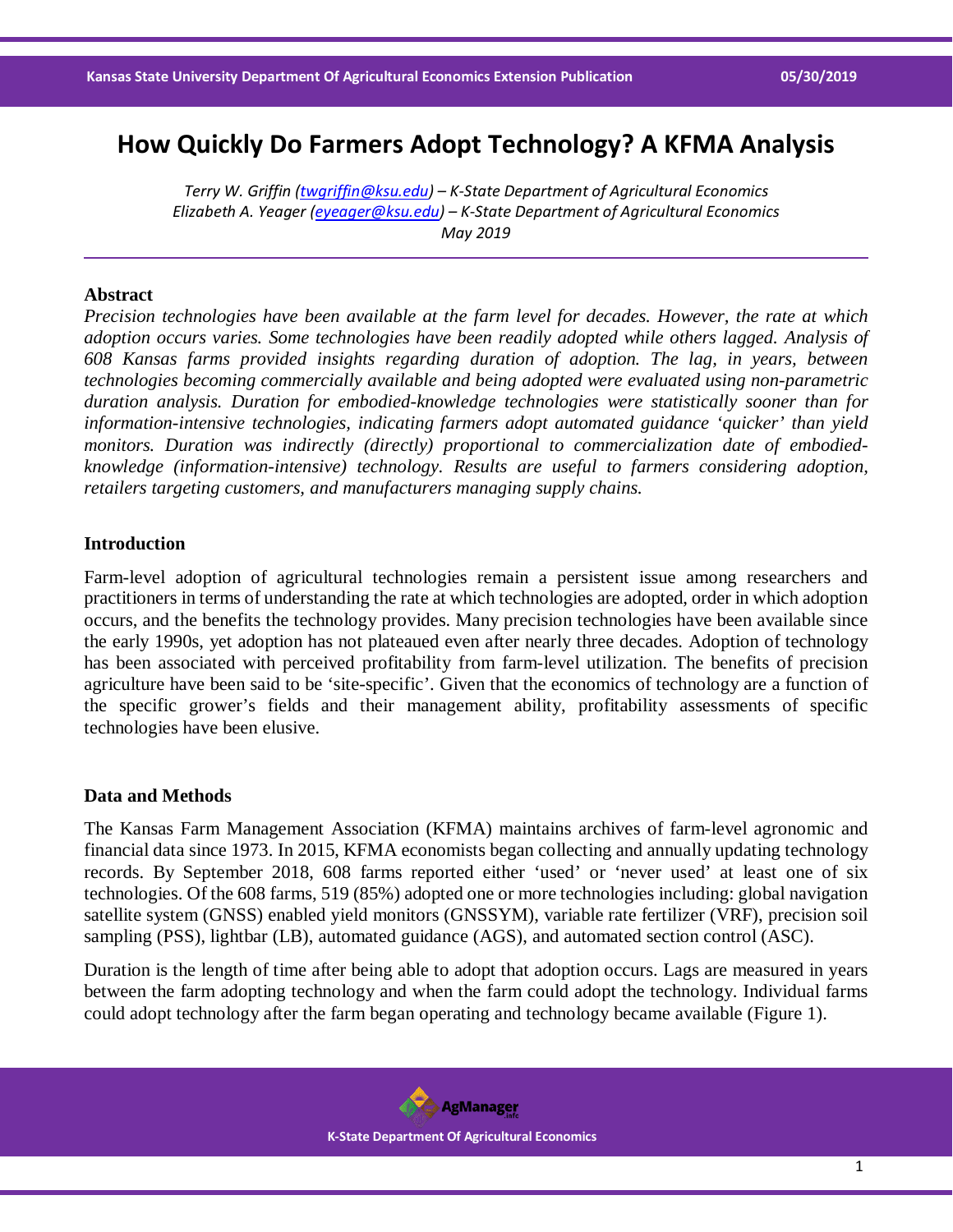# **How Quickly Do Farmers Adopt Technology? A KFMA Analysis**

*Terry W. Griffin [\(twgriffin@ksu.edu\)](mailto:twgriffin@ksu.edu) – K-State Department of Agricultural Economics Elizabeth A. Yeager [\(eyeager@ksu.edu\)](mailto:eyeager@ksu.edu) – K-State Department of Agricultural Economics May 2019*

#### **Abstract**

*Precision technologies have been available at the farm level for decades. However, the rate at which adoption occurs varies. Some technologies have been readily adopted while others lagged. Analysis of 608 Kansas farms provided insights regarding duration of adoption. The lag, in years, between technologies becoming commercially available and being adopted were evaluated using non-parametric duration analysis. Duration for embodied-knowledge technologies were statistically sooner than for information-intensive technologies, indicating farmers adopt automated guidance 'quicker' than yield monitors. Duration was indirectly (directly) proportional to commercialization date of embodiedknowledge (information-intensive) technology. Results are useful to farmers considering adoption, retailers targeting customers, and manufacturers managing supply chains.*

# **Introduction**

Farm-level adoption of agricultural technologies remain a persistent issue among researchers and practitioners in terms of understanding the rate at which technologies are adopted, order in which adoption occurs, and the benefits the technology provides. Many precision technologies have been available since the early 1990s, yet adoption has not plateaued even after nearly three decades. Adoption of technology has been associated with perceived profitability from farm-level utilization. The benefits of precision agriculture have been said to be 'site-specific'. Given that the economics of technology are a function of the specific grower's fields and their management ability, profitability assessments of specific technologies have been elusive.

# **Data and Methods**

The Kansas Farm Management Association (KFMA) maintains archives of farm-level agronomic and financial data since 1973. In 2015, KFMA economists began collecting and annually updating technology records. By September 2018, 608 farms reported either 'used' or 'never used' at least one of six technologies. Of the 608 farms, 519 (85%) adopted one or more technologies including: global navigation satellite system (GNSS) enabled yield monitors (GNSSYM), variable rate fertilizer (VRF), precision soil sampling (PSS), lightbar (LB), automated guidance (AGS), and automated section control (ASC).

Duration is the length of time after being able to adopt that adoption occurs. Lags are measured in years between the farm adopting technology and when the farm could adopt the technology. Individual farms could adopt technology after the farm began operating and technology became available (Figure 1).

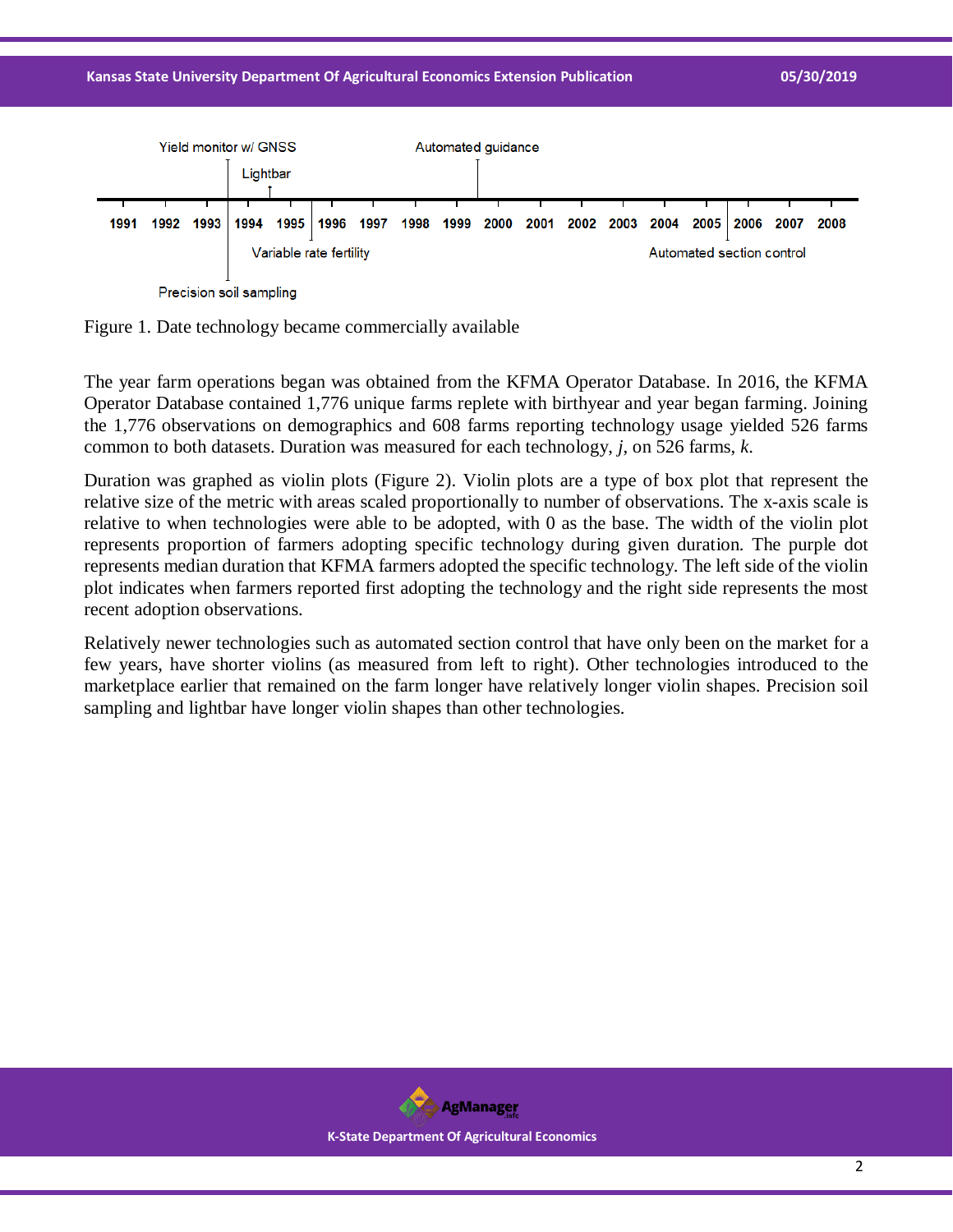



Figure 1. Date technology became commercially available

The year farm operations began was obtained from the KFMA Operator Database. In 2016, the KFMA Operator Database contained 1,776 unique farms replete with birthyear and year began farming. Joining the 1,776 observations on demographics and 608 farms reporting technology usage yielded 526 farms common to both datasets. Duration was measured for each technology, *j*, on 526 farms, *k*.

Duration was graphed as violin plots (Figure 2). Violin plots are a type of box plot that represent the relative size of the metric with areas scaled proportionally to number of observations. The x-axis scale is relative to when technologies were able to be adopted, with 0 as the base. The width of the violin plot represents proportion of farmers adopting specific technology during given duration. The purple dot represents median duration that KFMA farmers adopted the specific technology. The left side of the violin plot indicates when farmers reported first adopting the technology and the right side represents the most recent adoption observations.

Relatively newer technologies such as automated section control that have only been on the market for a few years, have shorter violins (as measured from left to right). Other technologies introduced to the marketplace earlier that remained on the farm longer have relatively longer violin shapes. Precision soil sampling and lightbar have longer violin shapes than other technologies.

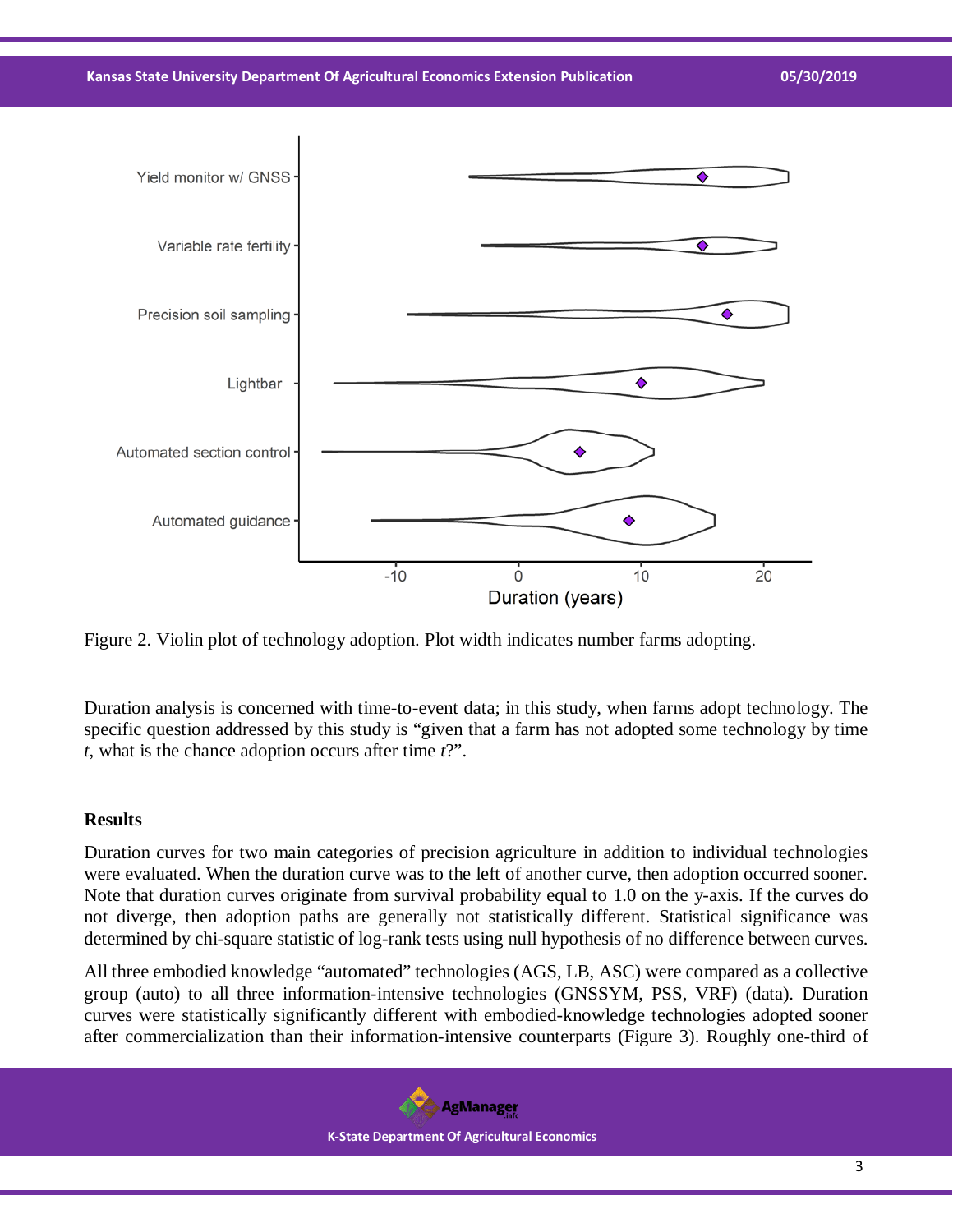**Kansas State University Department Of Agricultural Economics Extension Publication 05/30/2019**



Figure 2. Violin plot of technology adoption. Plot width indicates number farms adopting.

Duration analysis is concerned with time-to-event data; in this study, when farms adopt technology. The specific question addressed by this study is "given that a farm has not adopted some technology by time *t*, what is the chance adoption occurs after time *t*?".

# **Results**

Duration curves for two main categories of precision agriculture in addition to individual technologies were evaluated. When the duration curve was to the left of another curve, then adoption occurred sooner. Note that duration curves originate from survival probability equal to 1.0 on the y-axis. If the curves do not diverge, then adoption paths are generally not statistically different. Statistical significance was determined by chi-square statistic of log-rank tests using null hypothesis of no difference between curves.

All three embodied knowledge "automated" technologies (AGS, LB, ASC) were compared as a collective group (auto) to all three information-intensive technologies (GNSSYM, PSS, VRF) (data). Duration curves were statistically significantly different with embodied-knowledge technologies adopted sooner after commercialization than their information-intensive counterparts (Figure 3). Roughly one-third of

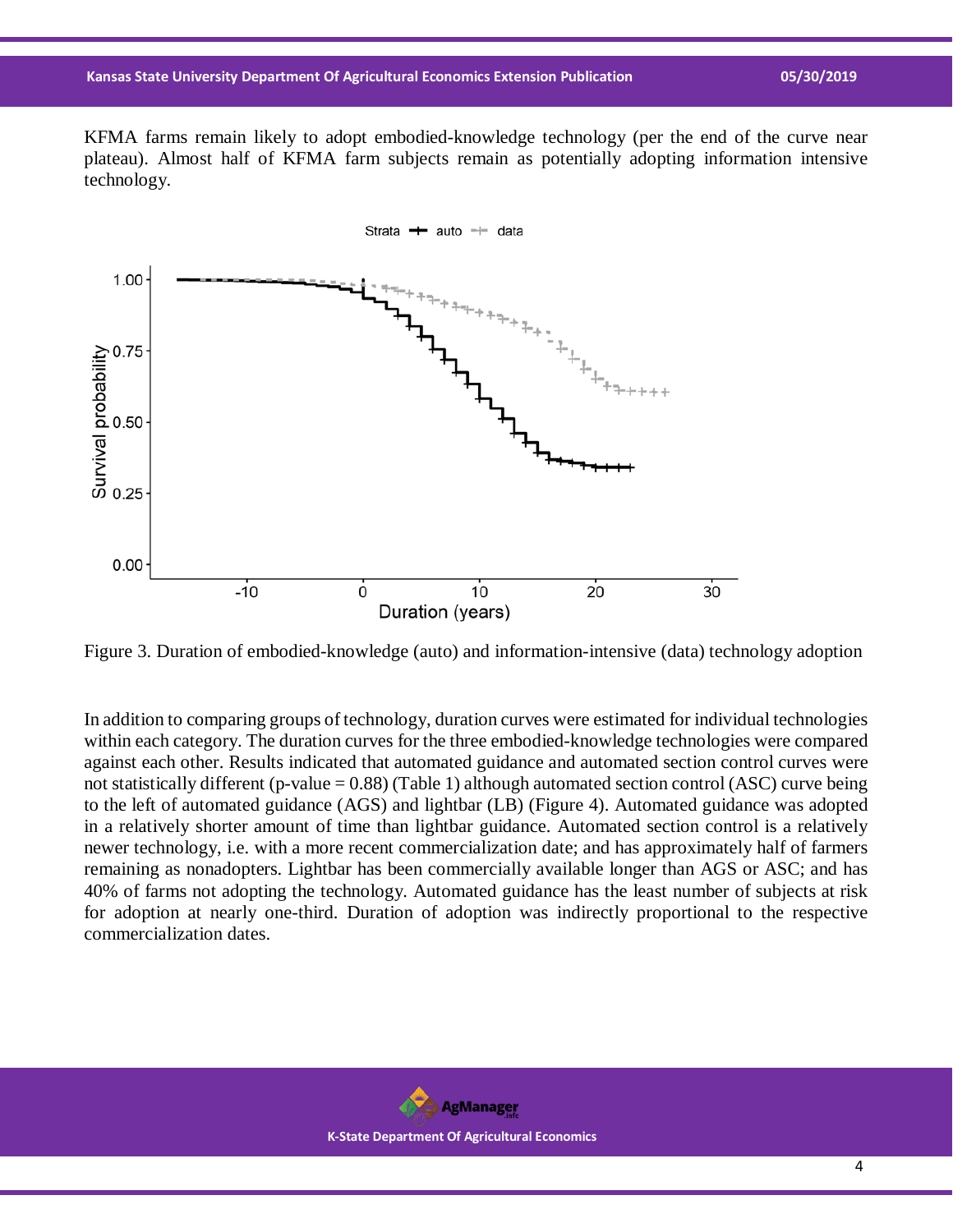#### **Kansas State University Department Of Agricultural Economics Extension Publication 05/30/2019**

KFMA farms remain likely to adopt embodied-knowledge technology (per the end of the curve near plateau). Almost half of KFMA farm subjects remain as potentially adopting information intensive technology.



Figure 3. Duration of embodied-knowledge (auto) and information-intensive (data) technology adoption

In addition to comparing groups of technology, duration curves were estimated for individual technologies within each category. The duration curves for the three embodied-knowledge technologies were compared against each other. Results indicated that automated guidance and automated section control curves were not statistically different (p-value  $= 0.88$ ) (Table 1) although automated section control (ASC) curve being to the left of automated guidance (AGS) and lightbar (LB) (Figure 4). Automated guidance was adopted in a relatively shorter amount of time than lightbar guidance. Automated section control is a relatively newer technology, i.e. with a more recent commercialization date; and has approximately half of farmers remaining as nonadopters. Lightbar has been commercially available longer than AGS or ASC; and has 40% of farms not adopting the technology. Automated guidance has the least number of subjects at risk for adoption at nearly one-third. Duration of adoption was indirectly proportional to the respective commercialization dates.

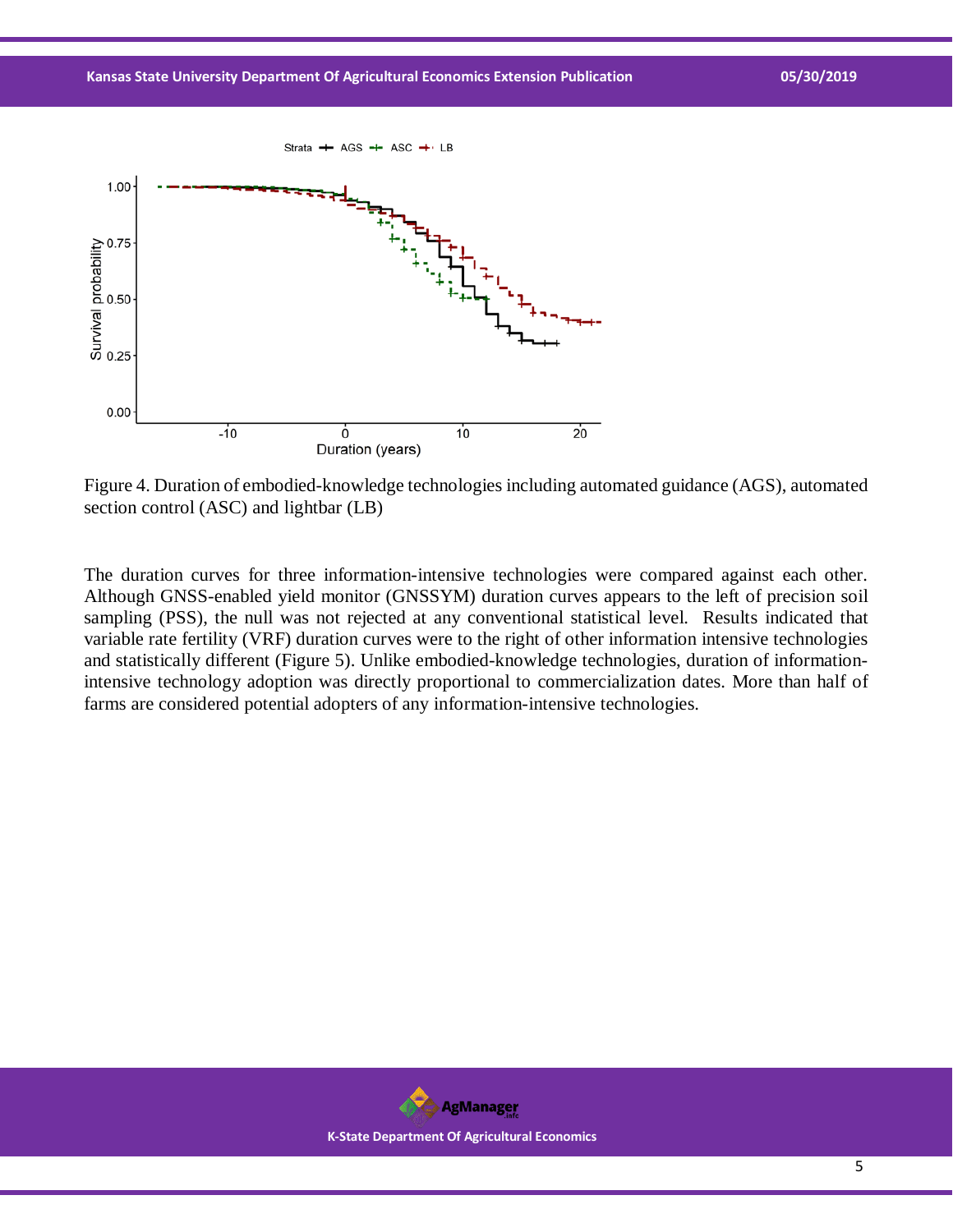**Kansas State University Department Of Agricultural Economics Extension Publication 05/30/2019**



Figure 4. Duration of embodied-knowledge technologies including automated guidance (AGS), automated section control (ASC) and lightbar (LB)

The duration curves for three information-intensive technologies were compared against each other. Although GNSS-enabled yield monitor (GNSSYM) duration curves appears to the left of precision soil sampling (PSS), the null was not rejected at any conventional statistical level. Results indicated that variable rate fertility (VRF) duration curves were to the right of other information intensive technologies and statistically different (Figure 5). Unlike embodied-knowledge technologies, duration of informationintensive technology adoption was directly proportional to commercialization dates. More than half of farms are considered potential adopters of any information-intensive technologies.

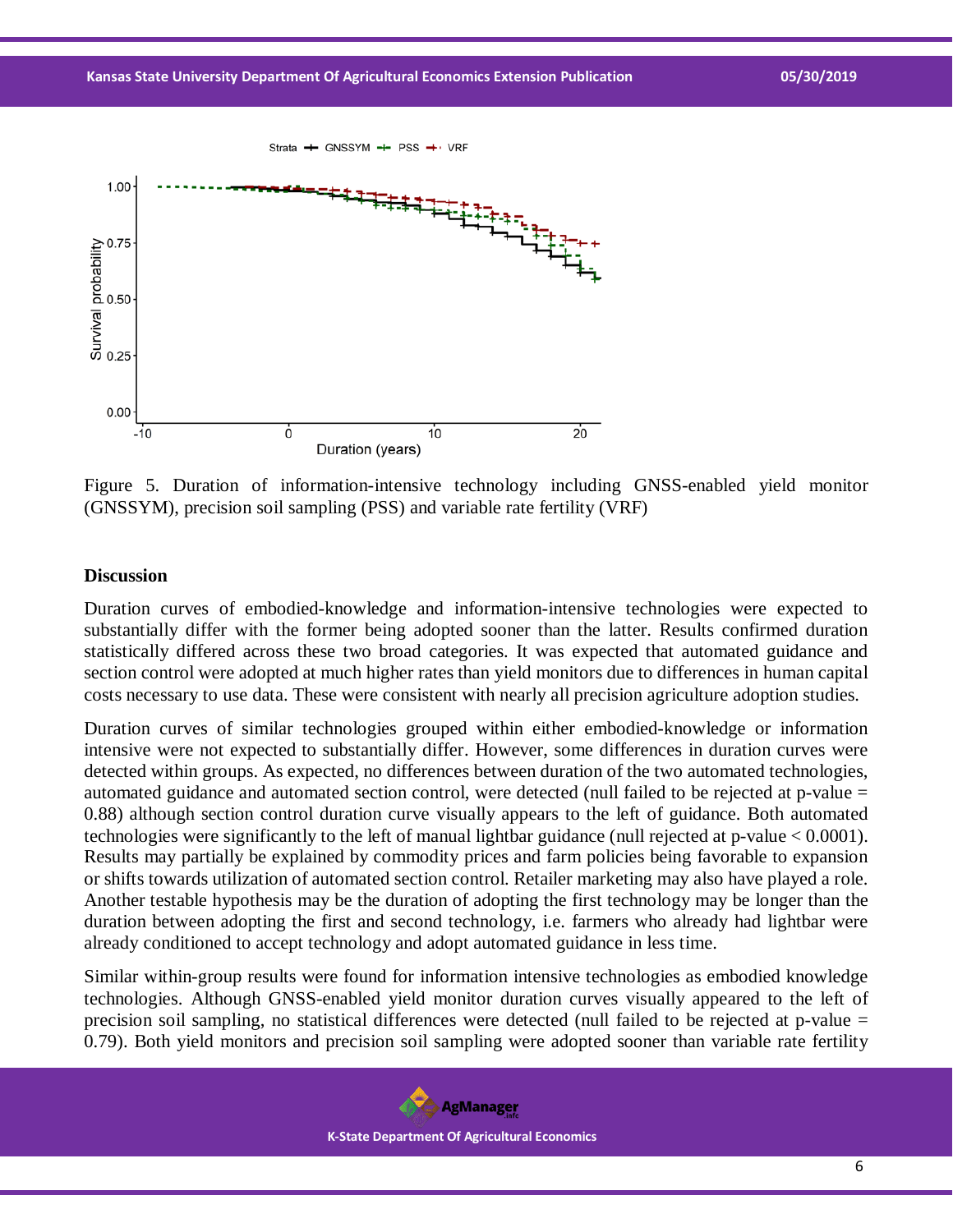

Figure 5. Duration of information-intensive technology including GNSS-enabled yield monitor (GNSSYM), precision soil sampling (PSS) and variable rate fertility (VRF)

# **Discussion**

Duration curves of embodied-knowledge and information-intensive technologies were expected to substantially differ with the former being adopted sooner than the latter. Results confirmed duration statistically differed across these two broad categories. It was expected that automated guidance and section control were adopted at much higher rates than yield monitors due to differences in human capital costs necessary to use data. These were consistent with nearly all precision agriculture adoption studies.

Duration curves of similar technologies grouped within either embodied-knowledge or information intensive were not expected to substantially differ. However, some differences in duration curves were detected within groups. As expected, no differences between duration of the two automated technologies, automated guidance and automated section control, were detected (null failed to be rejected at p-value = 0.88) although section control duration curve visually appears to the left of guidance. Both automated technologies were significantly to the left of manual lightbar guidance (null rejected at p-value < 0.0001). Results may partially be explained by commodity prices and farm policies being favorable to expansion or shifts towards utilization of automated section control. Retailer marketing may also have played a role. Another testable hypothesis may be the duration of adopting the first technology may be longer than the duration between adopting the first and second technology, i.e. farmers who already had lightbar were already conditioned to accept technology and adopt automated guidance in less time.

Similar within-group results were found for information intensive technologies as embodied knowledge technologies. Although GNSS-enabled yield monitor duration curves visually appeared to the left of precision soil sampling, no statistical differences were detected (null failed to be rejected at p-value = 0.79). Both yield monitors and precision soil sampling were adopted sooner than variable rate fertility

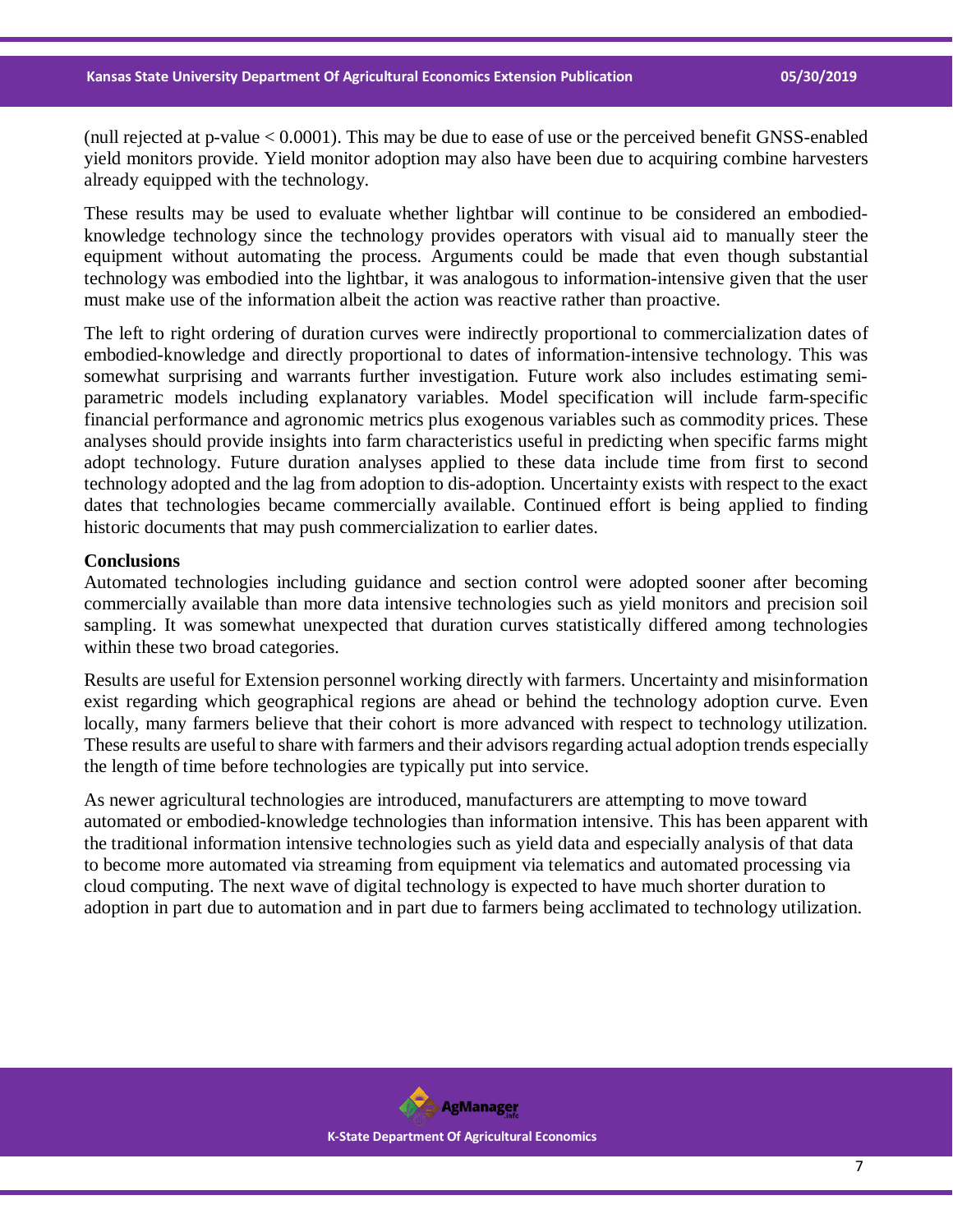(null rejected at p-value < 0.0001). This may be due to ease of use or the perceived benefit GNSS-enabled yield monitors provide. Yield monitor adoption may also have been due to acquiring combine harvesters already equipped with the technology.

These results may be used to evaluate whether lightbar will continue to be considered an embodiedknowledge technology since the technology provides operators with visual aid to manually steer the equipment without automating the process. Arguments could be made that even though substantial technology was embodied into the lightbar, it was analogous to information-intensive given that the user must make use of the information albeit the action was reactive rather than proactive.

The left to right ordering of duration curves were indirectly proportional to commercialization dates of embodied-knowledge and directly proportional to dates of information-intensive technology. This was somewhat surprising and warrants further investigation. Future work also includes estimating semiparametric models including explanatory variables. Model specification will include farm-specific financial performance and agronomic metrics plus exogenous variables such as commodity prices. These analyses should provide insights into farm characteristics useful in predicting when specific farms might adopt technology. Future duration analyses applied to these data include time from first to second technology adopted and the lag from adoption to dis-adoption. Uncertainty exists with respect to the exact dates that technologies became commercially available. Continued effort is being applied to finding historic documents that may push commercialization to earlier dates.

#### **Conclusions**

Automated technologies including guidance and section control were adopted sooner after becoming commercially available than more data intensive technologies such as yield monitors and precision soil sampling. It was somewhat unexpected that duration curves statistically differed among technologies within these two broad categories.

Results are useful for Extension personnel working directly with farmers. Uncertainty and misinformation exist regarding which geographical regions are ahead or behind the technology adoption curve. Even locally, many farmers believe that their cohort is more advanced with respect to technology utilization. These results are useful to share with farmers and their advisors regarding actual adoption trends especially the length of time before technologies are typically put into service.

As newer agricultural technologies are introduced, manufacturers are attempting to move toward automated or embodied-knowledge technologies than information intensive. This has been apparent with the traditional information intensive technologies such as yield data and especially analysis of that data to become more automated via streaming from equipment via telematics and automated processing via cloud computing. The next wave of digital technology is expected to have much shorter duration to adoption in part due to automation and in part due to farmers being acclimated to technology utilization.